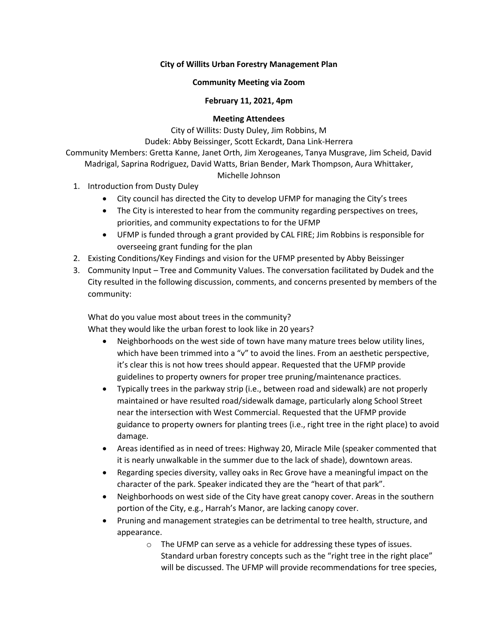# **City of Willits Urban Forestry Management Plan**

## **Community Meeting via Zoom**

## **February 11, 2021, 4pm**

#### **Meeting Attendees**

City of Willits: Dusty Duley, Jim Robbins, M

Dudek: Abby Beissinger, Scott Eckardt, Dana Link-Herrera

Community Members: Gretta Kanne, Janet Orth, Jim Xerogeanes, Tanya Musgrave, Jim Scheid, David Madrigal, Saprina Rodriguez, David Watts, Brian Bender, Mark Thompson, Aura Whittaker,

## Michelle Johnson

- 1. Introduction from Dusty Duley
	- City council has directed the City to develop UFMP for managing the City's trees
	- The City is interested to hear from the community regarding perspectives on trees, priorities, and community expectations to for the UFMP
	- UFMP is funded through a grant provided by CAL FIRE; Jim Robbins is responsible for overseeing grant funding for the plan
- 2. Existing Conditions/Key Findings and vision for the UFMP presented by Abby Beissinger
- 3. Community Input Tree and Community Values. The conversation facilitated by Dudek and the City resulted in the following discussion, comments, and concerns presented by members of the community:

What do you value most about trees in the community? What they would like the urban forest to look like in 20 years?

- Neighborhoods on the west side of town have many mature trees below utility lines, which have been trimmed into a "v" to avoid the lines. From an aesthetic perspective, it's clear this is not how trees should appear. Requested that the UFMP provide guidelines to property owners for proper tree pruning/maintenance practices.
- Typically trees in the parkway strip (i.e., between road and sidewalk) are not properly maintained or have resulted road/sidewalk damage, particularly along School Street near the intersection with West Commercial. Requested that the UFMP provide guidance to property owners for planting trees (i.e., right tree in the right place) to avoid damage.
- Areas identified as in need of trees: Highway 20, Miracle Mile (speaker commented that it is nearly unwalkable in the summer due to the lack of shade), downtown areas.
- Regarding species diversity, valley oaks in Rec Grove have a meaningful impact on the character of the park. Speaker indicated they are the "heart of that park".
- Neighborhoods on west side of the City have great canopy cover. Areas in the southern portion of the City, e.g., Harrah's Manor, are lacking canopy cover.
- Pruning and management strategies can be detrimental to tree health, structure, and appearance.
	- o The UFMP can serve as a vehicle for addressing these types of issues. Standard urban forestry concepts such as the "right tree in the right place" will be discussed. The UFMP will provide recommendations for tree species,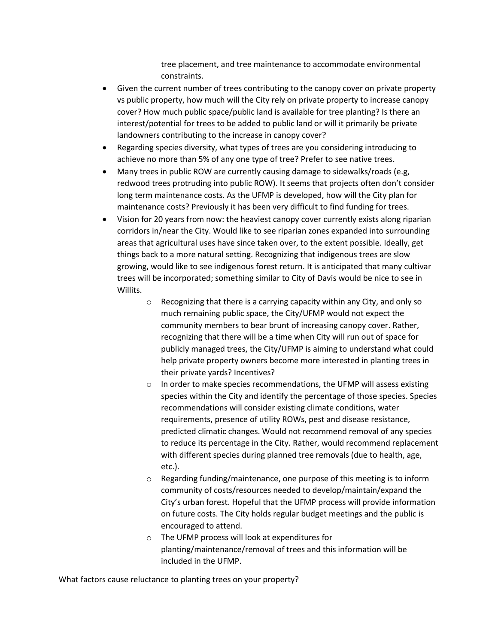tree placement, and tree maintenance to accommodate environmental constraints.

- Given the current number of trees contributing to the canopy cover on private property vs public property, how much will the City rely on private property to increase canopy cover? How much public space/public land is available for tree planting? Is there an interest/potential for trees to be added to public land or will it primarily be private landowners contributing to the increase in canopy cover?
- Regarding species diversity, what types of trees are you considering introducing to achieve no more than 5% of any one type of tree? Prefer to see native trees.
- Many trees in public ROW are currently causing damage to sidewalks/roads (e.g, redwood trees protruding into public ROW). It seems that projects often don't consider long term maintenance costs. As the UFMP is developed, how will the City plan for maintenance costs? Previously it has been very difficult to find funding for trees.
- Vision for 20 years from now: the heaviest canopy cover currently exists along riparian corridors in/near the City. Would like to see riparian zones expanded into surrounding areas that agricultural uses have since taken over, to the extent possible. Ideally, get things back to a more natural setting. Recognizing that indigenous trees are slow growing, would like to see indigenous forest return. It is anticipated that many cultivar trees will be incorporated; something similar to City of Davis would be nice to see in Willits.
	- $\circ$  Recognizing that there is a carrying capacity within any City, and only so much remaining public space, the City/UFMP would not expect the community members to bear brunt of increasing canopy cover. Rather, recognizing that there will be a time when City will run out of space for publicly managed trees, the City/UFMP is aiming to understand what could help private property owners become more interested in planting trees in their private yards? Incentives?
	- o In order to make species recommendations, the UFMP will assess existing species within the City and identify the percentage of those species. Species recommendations will consider existing climate conditions, water requirements, presence of utility ROWs, pest and disease resistance, predicted climatic changes. Would not recommend removal of any species to reduce its percentage in the City. Rather, would recommend replacement with different species during planned tree removals (due to health, age, etc.).
	- o Regarding funding/maintenance, one purpose of this meeting is to inform community of costs/resources needed to develop/maintain/expand the City's urban forest. Hopeful that the UFMP process will provide information on future costs. The City holds regular budget meetings and the public is encouraged to attend.
	- o The UFMP process will look at expenditures for planting/maintenance/removal of trees and this information will be included in the UFMP.

What factors cause reluctance to planting trees on your property?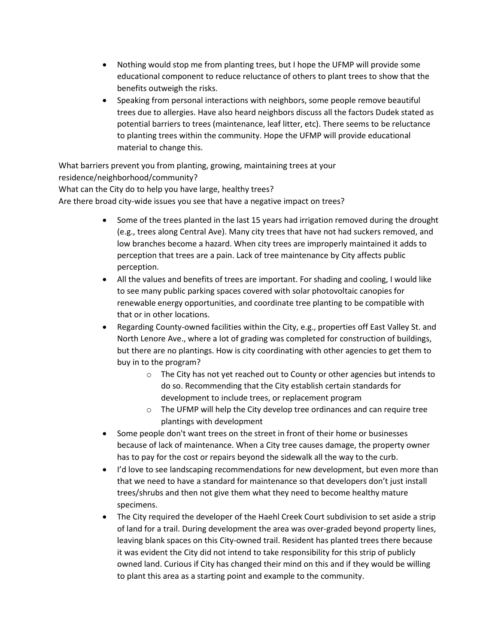- Nothing would stop me from planting trees, but I hope the UFMP will provide some educational component to reduce reluctance of others to plant trees to show that the benefits outweigh the risks.
- Speaking from personal interactions with neighbors, some people remove beautiful trees due to allergies. Have also heard neighbors discuss all the factors Dudek stated as potential barriers to trees (maintenance, leaf litter, etc). There seems to be reluctance to planting trees within the community. Hope the UFMP will provide educational material to change this.

What barriers prevent you from planting, growing, maintaining trees at your residence/neighborhood/community? What can the City do to help you have large, healthy trees?

Are there broad city-wide issues you see that have a negative impact on trees?

- Some of the trees planted in the last 15 years had irrigation removed during the drought (e.g., trees along Central Ave). Many city trees that have not had suckers removed, and low branches become a hazard. When city trees are improperly maintained it adds to perception that trees are a pain. Lack of tree maintenance by City affects public perception.
- All the values and benefits of trees are important. For shading and cooling, I would like to see many public parking spaces covered with solar photovoltaic canopies for renewable energy opportunities, and coordinate tree planting to be compatible with that or in other locations.
- Regarding County-owned facilities within the City, e.g., properties off East Valley St. and North Lenore Ave., where a lot of grading was completed for construction of buildings, but there are no plantings. How is city coordinating with other agencies to get them to buy in to the program?
	- o The City has not yet reached out to County or other agencies but intends to do so. Recommending that the City establish certain standards for development to include trees, or replacement program
	- o The UFMP will help the City develop tree ordinances and can require tree plantings with development
- Some people don't want trees on the street in front of their home or businesses because of lack of maintenance. When a City tree causes damage, the property owner has to pay for the cost or repairs beyond the sidewalk all the way to the curb.
- I'd love to see landscaping recommendations for new development, but even more than that we need to have a standard for maintenance so that developers don't just install trees/shrubs and then not give them what they need to become healthy mature specimens.
- The City required the developer of the Haehl Creek Court subdivision to set aside a strip of land for a trail. During development the area was over-graded beyond property lines, leaving blank spaces on this City-owned trail. Resident has planted trees there because it was evident the City did not intend to take responsibility for this strip of publicly owned land. Curious if City has changed their mind on this and if they would be willing to plant this area as a starting point and example to the community.